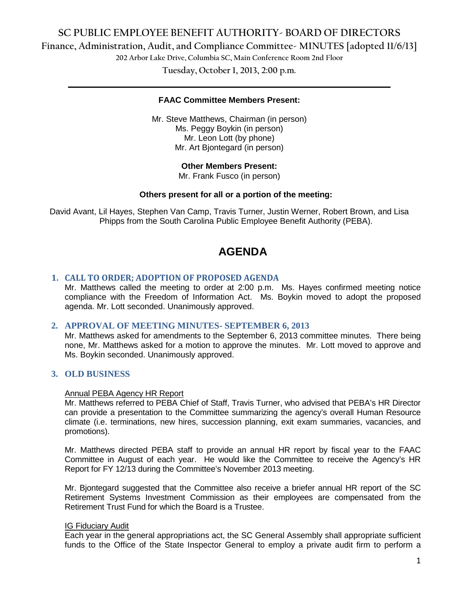# **SC PUBLIC EMPLOYEE BENEFIT AUTHORITY- BOARD OF DIRECTORS**

**Finance, Administration, Audit, and Compliance Committee- MINUTES [adopted 11/6/13]**

**202 Arbor Lake Drive, Columbia SC, Main Conference Room 2nd Floor**

**Tuesday, October 1, 2013, 2:00 p.m. \_\_\_\_\_\_\_\_\_\_\_\_\_\_\_\_\_\_\_\_\_\_\_\_\_\_\_\_\_\_\_\_\_\_\_\_\_\_\_\_\_\_\_\_\_\_\_\_\_\_\_\_\_\_\_\_\_\_\_\_\_\_\_\_\_\_\_\_\_\_\_\_**

#### **FAAC Committee Members Present:**

Mr. Steve Matthews, Chairman (in person) Ms. Peggy Boykin (in person) Mr. Leon Lott (by phone) Mr. Art Bjontegard (in person)

#### **Other Members Present:**

Mr. Frank Fusco (in person)

#### **Others present for all or a portion of the meeting:**

David Avant, Lil Hayes, Stephen Van Camp, Travis Turner, Justin Werner, Robert Brown, and Lisa Phipps from the South Carolina Public Employee Benefit Authority (PEBA).

# **AGENDA**

#### **1. CALL TO ORDER; ADOPTION OF PROPOSED AGENDA**

Mr. Matthews called the meeting to order at 2:00 p.m. Ms. Hayes confirmed meeting notice compliance with the Freedom of Information Act. Ms. Boykin moved to adopt the proposed agenda. Mr. Lott seconded. Unanimously approved.

#### **2. APPROVAL OF MEETING MINUTES- SEPTEMBER 6, 2013**

Mr. Matthews asked for amendments to the September 6, 2013 committee minutes. There being none, Mr. Matthews asked for a motion to approve the minutes. Mr. Lott moved to approve and Ms. Boykin seconded. Unanimously approved.

### **3. OLD BUSINESS**

#### Annual PEBA Agency HR Report

Mr. Matthews referred to PEBA Chief of Staff, Travis Turner, who advised that PEBA's HR Director can provide a presentation to the Committee summarizing the agency's overall Human Resource climate (i.e. terminations, new hires, succession planning, exit exam summaries, vacancies, and promotions).

Mr. Matthews directed PEBA staff to provide an annual HR report by fiscal year to the FAAC Committee in August of each year. He would like the Committee to receive the Agency's HR Report for FY 12/13 during the Committee's November 2013 meeting.

Mr. Bjontegard suggested that the Committee also receive a briefer annual HR report of the SC Retirement Systems Investment Commission as their employees are compensated from the Retirement Trust Fund for which the Board is a Trustee.

#### IG Fiduciary Audit

Each year in the general appropriations act, the SC General Assembly shall appropriate sufficient funds to the Office of the State Inspector General to employ a private audit firm to perform a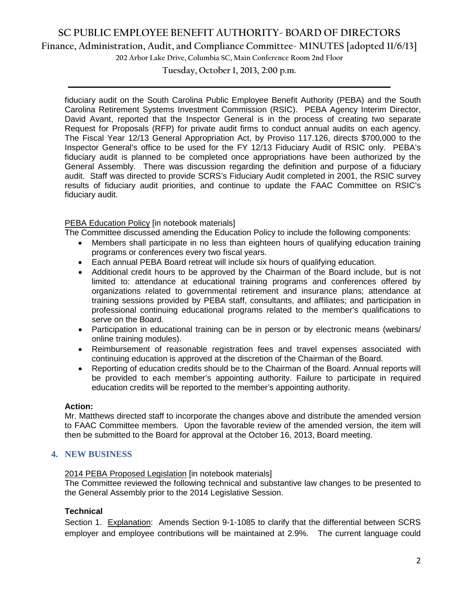# **SC PUBLIC EMPLOYEE BENEFIT AUTHORITY- BOARD OF DIRECTORS**

### **Finance, Administration, Audit, and Compliance Committee- MINUTES [adopted 11/6/13]**

**202 Arbor Lake Drive, Columbia SC, Main Conference Room 2nd Floor**

**Tuesday, October 1, 2013, 2:00 p.m. \_\_\_\_\_\_\_\_\_\_\_\_\_\_\_\_\_\_\_\_\_\_\_\_\_\_\_\_\_\_\_\_\_\_\_\_\_\_\_\_\_\_\_\_\_\_\_\_\_\_\_\_\_\_\_\_\_\_\_\_\_\_\_\_\_\_\_\_\_\_\_\_**

fiduciary audit on the South Carolina Public Employee Benefit Authority (PEBA) and the South Carolina Retirement Systems Investment Commission (RSIC). PEBA Agency Interim Director, David Avant, reported that the Inspector General is in the process of creating two separate Request for Proposals (RFP) for private audit firms to conduct annual audits on each agency. The Fiscal Year 12/13 General Appropriation Act, by Proviso 117.126, directs \$700,000 to the Inspector General's office to be used for the FY 12/13 Fiduciary Audit of RSIC only. PEBA's fiduciary audit is planned to be completed once appropriations have been authorized by the General Assembly. There was discussion regarding the definition and purpose of a fiduciary audit. Staff was directed to provide SCRS's Fiduciary Audit completed in 2001, the RSIC survey results of fiduciary audit priorities, and continue to update the FAAC Committee on RSIC's fiduciary audit.

#### PEBA Education Policy [in notebook materials]

The Committee discussed amending the Education Policy to include the following components:

- Members shall participate in no less than eighteen hours of qualifying education training programs or conferences every two fiscal years.
- Each annual PEBA Board retreat will include six hours of qualifying education.
- Additional credit hours to be approved by the Chairman of the Board include, but is not limited to: attendance at educational training programs and conferences offered by organizations related to governmental retirement and insurance plans; attendance at training sessions provided by PEBA staff, consultants, and affiliates; and participation in professional continuing educational programs related to the member's qualifications to serve on the Board.
- Participation in educational training can be in person or by electronic means (webinars/ online training modules).
- Reimbursement of reasonable registration fees and travel expenses associated with continuing education is approved at the discretion of the Chairman of the Board.
- Reporting of education credits should be to the Chairman of the Board. Annual reports will be provided to each member's appointing authority. Failure to participate in required education credits will be reported to the member's appointing authority.

#### **Action:**

Mr. Matthews directed staff to incorporate the changes above and distribute the amended version to FAAC Committee members. Upon the favorable review of the amended version, the item will then be submitted to the Board for approval at the October 16, 2013, Board meeting.

#### **4. NEW BUSINESS**

#### 2014 PEBA Proposed Legislation [in notebook materials]

The Committee reviewed the following technical and substantive law changes to be presented to the General Assembly prior to the 2014 Legislative Session.

#### **Technical**

Section 1. Explanation: Amends Section 9-1-1085 to clarify that the differential between SCRS employer and employee contributions will be maintained at 2.9%. The current language could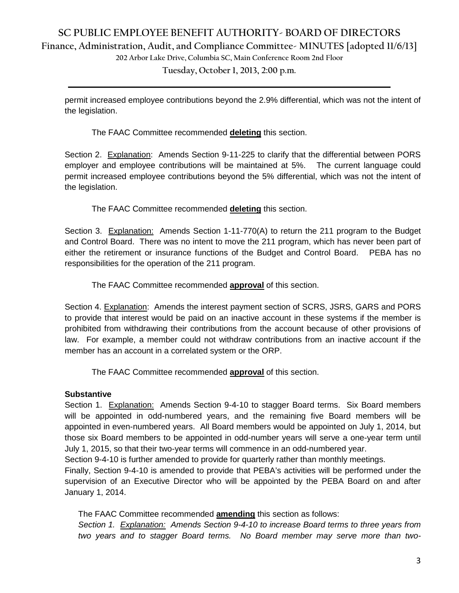# **SC PUBLIC EMPLOYEE BENEFIT AUTHORITY- BOARD OF DIRECTORS Finance, Administration, Audit, and Compliance Committee- MINUTES [adopted 11/6/13]**

**202 Arbor Lake Drive, Columbia SC, Main Conference Room 2nd Floor**

**Tuesday, October 1, 2013, 2:00 p.m. \_\_\_\_\_\_\_\_\_\_\_\_\_\_\_\_\_\_\_\_\_\_\_\_\_\_\_\_\_\_\_\_\_\_\_\_\_\_\_\_\_\_\_\_\_\_\_\_\_\_\_\_\_\_\_\_\_\_\_\_\_\_\_\_\_\_\_\_\_\_\_\_**

permit increased employee contributions beyond the 2.9% differential, which was not the intent of the legislation.

The FAAC Committee recommended **deleting** this section.

Section 2. Explanation: Amends Section 9-11-225 to clarify that the differential between PORS employer and employee contributions will be maintained at 5%. The current language could permit increased employee contributions beyond the 5% differential, which was not the intent of the legislation.

The FAAC Committee recommended **deleting** this section.

Section 3. Explanation: Amends Section 1-11-770(A) to return the 211 program to the Budget and Control Board. There was no intent to move the 211 program, which has never been part of either the retirement or insurance functions of the Budget and Control Board. PEBA has no responsibilities for the operation of the 211 program.

The FAAC Committee recommended **approval** of this section.

Section 4. Explanation: Amends the interest payment section of SCRS, JSRS, GARS and PORS to provide that interest would be paid on an inactive account in these systems if the member is prohibited from withdrawing their contributions from the account because of other provisions of law. For example, a member could not withdraw contributions from an inactive account if the member has an account in a correlated system or the ORP.

The FAAC Committee recommended **approval** of this section.

# **Substantive**

Section 1. Explanation: Amends Section 9-4-10 to stagger Board terms. Six Board members will be appointed in odd-numbered years, and the remaining five Board members will be appointed in even-numbered years. All Board members would be appointed on July 1, 2014, but those six Board members to be appointed in odd-number years will serve a one-year term until July 1, 2015, so that their two-year terms will commence in an odd-numbered year.

Section 9-4-10 is further amended to provide for quarterly rather than monthly meetings.

Finally, Section 9-4-10 is amended to provide that PEBA's activities will be performed under the supervision of an Executive Director who will be appointed by the PEBA Board on and after January 1, 2014.

The FAAC Committee recommended **amending** this section as follows:

*Section 1. Explanation: Amends Section 9-4-10 to increase Board terms to three years from two years and to stagger Board terms. No Board member may serve more than two-*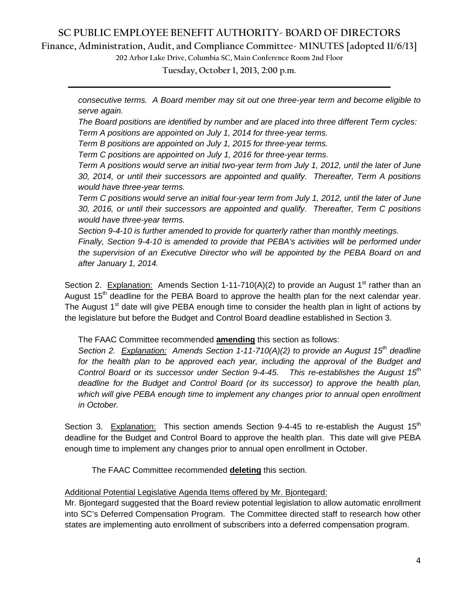# **SC PUBLIC EMPLOYEE BENEFIT AUTHORITY- BOARD OF DIRECTORS**

# **Finance, Administration, Audit, and Compliance Committee- MINUTES [adopted 11/6/13]**

**202 Arbor Lake Drive, Columbia SC, Main Conference Room 2nd Floor**

**Tuesday, October 1, 2013, 2:00 p.m. \_\_\_\_\_\_\_\_\_\_\_\_\_\_\_\_\_\_\_\_\_\_\_\_\_\_\_\_\_\_\_\_\_\_\_\_\_\_\_\_\_\_\_\_\_\_\_\_\_\_\_\_\_\_\_\_\_\_\_\_\_\_\_\_\_\_\_\_\_\_\_\_**

*consecutive terms. A Board member may sit out one three-year term and become eligible to serve again.*

*The Board positions are identified by number and are placed into three different Term cycles: Term A positions are appointed on July 1, 2014 for three-year terms.* 

*Term B positions are appointed on July 1, 2015 for three-year terms.*

*Term C positions are appointed on July 1, 2016 for three-year terms.* 

*Term A positions would serve an initial two-year term from July 1, 2012, until the later of June 30, 2014, or until their successors are appointed and qualify. Thereafter, Term A positions would have three-year terms.*

*Term C positions would serve an initial four-year term from July 1, 2012, until the later of June 30, 2016, or until their successors are appointed and qualify. Thereafter, Term C positions would have three-year terms.*

*Section 9-4-10 is further amended to provide for quarterly rather than monthly meetings.*

*Finally, Section 9-4-10 is amended to provide that PEBA's activities will be performed under the supervision of an Executive Director who will be appointed by the PEBA Board on and after January 1, 2014.* 

Section 2. Explanation: Amends Section 1-11-710(A)(2) to provide an August 1<sup>st</sup> rather than an August  $15<sup>th</sup>$  deadline for the PEBA Board to approve the health plan for the next calendar year. The August  $1<sup>st</sup>$  date will give PEBA enough time to consider the health plan in light of actions by the legislature but before the Budget and Control Board deadline established in Section 3.

The FAAC Committee recommended **amending** this section as follows:

*Section 2. Explanation: Amends Section 1-11-710(A)(2) to provide an August 15th deadline*  for the health plan to be approved each year, including the approval of the Budget and *Control Board or its successor under Section 9-4-45. This re-establishes the August 15th deadline for the Budget and Control Board (or its successor) to approve the health plan, which will give PEBA enough time to implement any changes prior to annual open enrollment in October.* 

Section 3. Explanation: This section amends Section  $9-4-45$  to re-establish the August  $15<sup>th</sup>$ deadline for the Budget and Control Board to approve the health plan. This date will give PEBA enough time to implement any changes prior to annual open enrollment in October.

The FAAC Committee recommended **deleting** this section.

Additional Potential Legislative Agenda Items offered by Mr. Bjontegard:

Mr. Bjontegard suggested that the Board review potential legislation to allow automatic enrollment into SC's Deferred Compensation Program. The Committee directed staff to research how other states are implementing auto enrollment of subscribers into a deferred compensation program.